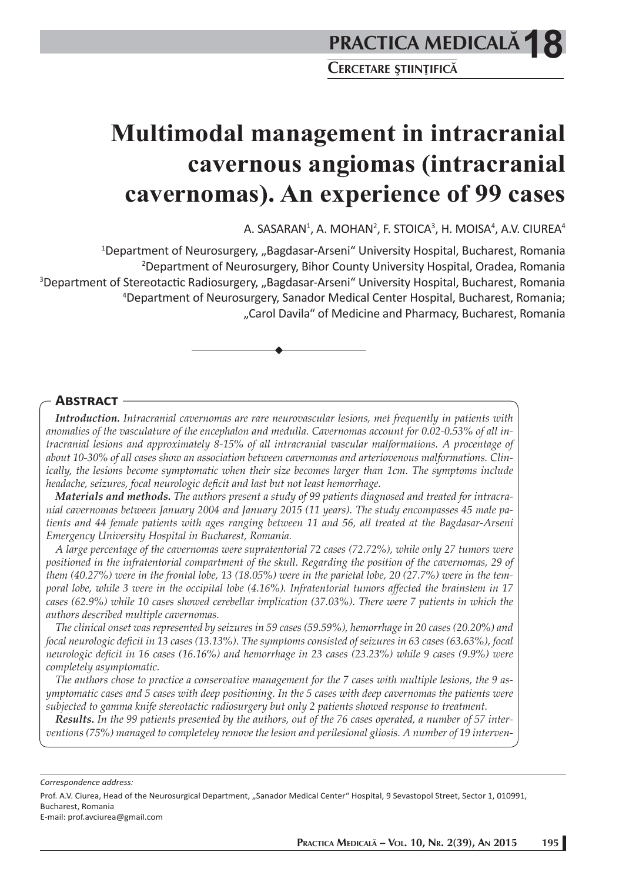# **Multimodal management in intracranial cavernous angiomas (intracranial cavernomas). An experience of 99 cases**

A. SASARAN $^1$ , A. MOHAN $^2$ , F. STOICA $^3$ , H. MOISA $^4$ , A.V. CIUREA $^4$ 

<sup>1</sup>Department of Neurosurgery, "Bagdasar-Arseni" University Hospital, Bucharest, Romania 2 Department of Neurosurgery, Bihor County University Hospital, Oradea, Romania <sup>3</sup>Department of Stereotactic Radiosurgery, "Bagdasar-Arseni" University Hospital, Bucharest, Romania 4 Department of Neurosurgery, Sanador Medical Center Hospital, Bucharest, Romania; "Carol Davila" of Medicine and Pharmacy, Bucharest, Romania

## **ABSTRACT**

*Introduction. Intracranial cavernomas are rare neurovascular lesions, met frequently in patients with anomalies of the vasculature of the encephalon and medulla. Cavernomas account for 0.02-0.53% of all intracranial lesions and approximately 8-15% of all intracranial vascular malformations. A procentage of about 10-30% of all cases show an association between cavernomas and arteriovenous malformations. Clinically, the lesions become symptomatic when their size becomes larger than 1cm. The symptoms include headache, seizures, focal neurologic deficit and last but not least hemorrhage.* 

*Materials and methods. The authors present a study of 99 patients diagnosed and treated for intracranial cavernomas between January 2004 and January 2015 (11 years). The study encompasses 45 male patients and 44 female patients with ages ranging between 11 and 56, all treated at the Bagdasar-Arseni Emergency University Hospital in Bucharest, Romania.*

*A large percentage of the cavernomas were supratentorial 72 cases (72.72%), while only 27 tumors were positioned in the infratentorial compartment of the skull. Regarding the position of the cavernomas, 29 of them (40.27%) were in the frontal lobe, 13 (18.05%) were in the parietal lobe, 20 (27.7%) were in the temporal lobe, while 3 were in the occipital lobe (4.16%). Infratentorial tumors aff ected the brainstem in 17 cases (62.9%) while 10 cases showed cerebellar implication (37.03%). There were 7 patients in which the authors described multiple cavernomas.*

*The clinical onset was represented by seizures in 59 cases (59.59%), hemorrhage in 20 cases (20.20%) and focal neurologic deficit in 13 cases (13.13%). The symptoms consisted of seizures in 63 cases (63.63%), focal neurologic deficit in 16 cases (16.16%) and hemorrhage in 23 cases (23.23%) while 9 cases (9.9%) were completely asymptomatic.* 

*The authors chose to practice a conservative management for the 7 cases with multiple lesions, the 9 asymptomatic cases and 5 cases with deep positioning. In the 5 cases with deep cavernomas the patients were subjected to gamma knife stereotactic radiosurgery but only 2 patients showed response to treatment.*

*Results. In the 99 patients presented by the authors, out of the 76 cases operated, a number of 57 interventions (75%) managed to completeley remove the lesion and perilesional gliosis. A number of 19 interven-*

*Correspondence address:* 

Prof. A.V. Ciurea, Head of the Neurosurgical Department, "Sanador Medical Center" Hospital, 9 Sevastopol Street, Sector 1, 010991, Bucharest, Romania

E-mail: prof.avciurea@gmail.com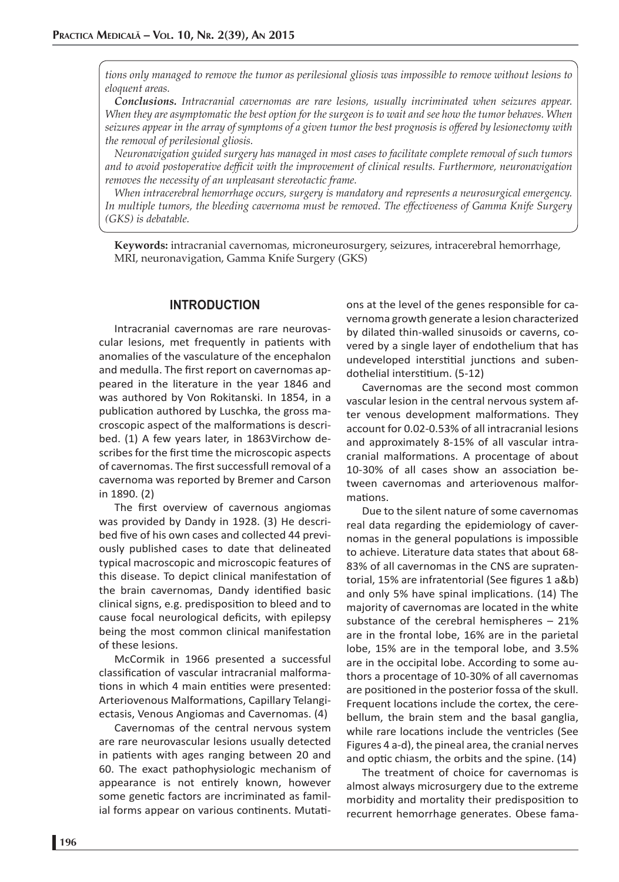*tions only managed to remove the tumor as perilesional gliosis was impossible to remove without lesions to eloquent areas.*

*Conclusions. Intracranial cavernomas are rare lesions, usually incriminated when seizures appear. When they are asymptomatic the best option for the surgeon is to wait and see how the tumor behaves. When seizures appear in the array of symptoms of a given tumor the best prognosis is offered by lesionectomy with the removal of perilesional gliosis.*

*Neuronavigation guided surgery has managed in most cases to facilitate complete removal of such tumors and to avoid postoperative deffi cit with the improvement of clinical results. Furthermore, neuronavigation removes the necessity of an unpleasant stereotactic frame.* 

*When intracerebral hemorrhage occurs, surgery is mandatory and represents a neurosurgical emergency. In multiple tumors, the bleeding cavernoma must be removed. The eff ectiveness of Gamma Knife Surgery (GKS) is debatable.* 

**Keywords:** intracranial cavernomas, microneurosurgery, seizures, intracerebral hemorrhage, MRI, neuronavigation, Gamma Knife Surgery (GKS)

### **INTRODUCTION**

Intracranial cavernomas are rare neurovascular lesions, met frequently in patients with anomalies of the vasculature of the encephalon and medulla. The first report on cavernomas appeared in the literature in the year 1846 and was authored by Von Rokitanski. In 1854, in a publication authored by Luschka, the gross macroscopic aspect of the malformations is described. (1) A few years later, in 1863Virchow describes for the first time the microscopic aspects of cavernomas. The first successfull removal of a cavernoma was reported by Bremer and Carson in 1890. (2)

The first overview of cavernous angiomas was provided by Dandy in 1928. (3) He described five of his own cases and collected 44 previously published cases to date that delineated typical macroscopic and microscopic features of this disease. To depict clinical manifestation of the brain cavernomas, Dandy identified basic clinical signs, e.g. predisposition to bleed and to cause focal neurological deficits, with epilepsy being the most common clinical manifestation of these lesions.

McCormik in 1966 presented a successful classification of vascular intracranial malformations in which 4 main entities were presented: Arteriovenous Malformations, Capillary Telangiectasis, Venous Angiomas and Cavernomas. (4)

Cavernomas of the central nervous system are rare neurovascular lesions usually detected in patients with ages ranging between 20 and 60. The exact pathophysiologic mechanism of appearance is not entirely known, however some genetic factors are incriminated as familial forms appear on various continents. Mutations at the level of the genes responsible for cavernoma growth generate a lesion characterized by dilated thin-walled sinusoids or caverns, covered by a single layer of endothelium that has undeveloped interstitial junctions and subendothelial interstitium. (5-12)

Cavernomas are the second most common vascular lesion in the central nervous system after venous development malformations. They account for 0.02-0.53% of all intracranial lesions and approximately 8-15% of all vascular intracranial malformations. A procentage of about 10-30% of all cases show an association between cavernomas and arteriovenous malformations

Due to the silent nature of some cavernomas real data regarding the epidemiology of cavernomas in the general populations is impossible to achieve. Literature data states that about 68- 83% of all cavernomas in the CNS are supratentorial, 15% are infratentorial (See figures 1 a&b) and only 5% have spinal implications. (14) The majority of cavernomas are located in the white substance of the cerebral hemispheres – 21% are in the frontal lobe, 16% are in the parietal lobe, 15% are in the temporal lobe, and 3.5% are in the occipital lobe. According to some authors a procentage of 10-30% of all cavernomas are positioned in the posterior fossa of the skull. Frequent locations include the cortex, the cerebellum, the brain stem and the basal ganglia, while rare locations include the ventricles (See Figures 4 a-d), the pineal area, the cranial nerves and optic chiasm, the orbits and the spine. (14)

The treatment of choice for cavernomas is almost always microsurgery due to the extreme morbidity and mortality their predisposition to recurrent hemorrhage generates. Obese fama-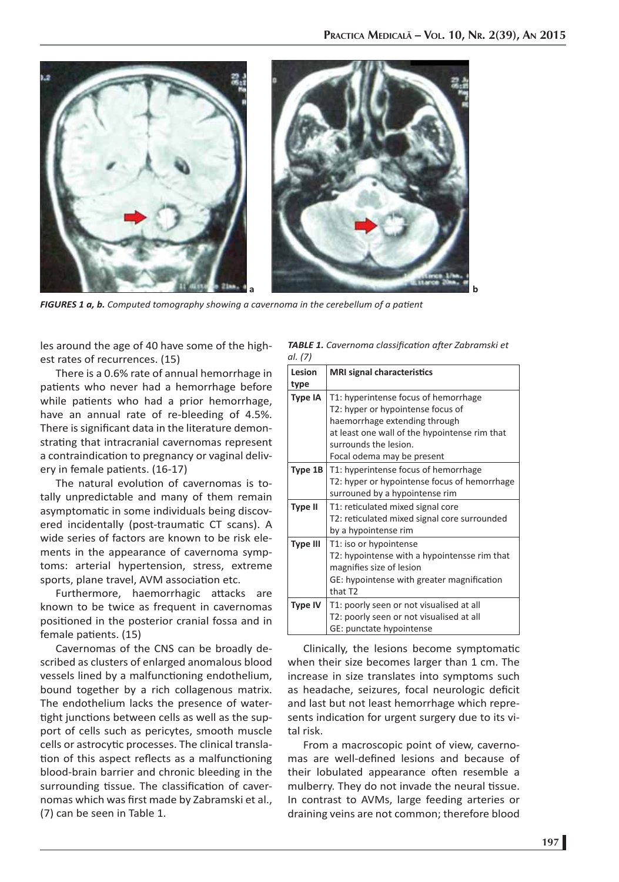

*FIGURES 1 a, b. Computed tomography showing a cavernoma in the cerebellum of a patient* 

les around the age of 40 have some of the highest rates of recurrences. (15)

There is a 0.6% rate of annual hemorrhage in patients who never had a hemorrhage before while patients who had a prior hemorrhage, have an annual rate of re-bleeding of 4.5%. There is significant data in the literature demonstrating that intracranial cavernomas represent a contraindication to pregnancy or vaginal delivery in female patients. (16-17)

The natural evolution of cavernomas is totally unpredictable and many of them remain asymptomatic in some individuals being discovered incidentally (post-traumatic CT scans). A wide series of factors are known to be risk elements in the appearance of cavernoma symptoms: arterial hypertension, stress, extreme sports, plane travel, AVM association etc.

Furthermore, haemorrhagic attacks are known to be twice as frequent in cavernomas positioned in the posterior cranial fossa and in female patients. (15)

Cavernomas of the CNS can be broadly described as clusters of enlarged anomalous blood vessels lined by a malfunctioning endothelium, bound together by a rich collagenous matrix. The endothelium lacks the presence of watertight junctions between cells as well as the support of cells such as pericytes, smooth muscle cells or astrocytic processes. The clinical translation of this aspect reflects as a malfunctioning blood-brain barrier and chronic bleeding in the surrounding tissue. The classification of cavernomas which was first made by Zabramski et al., (7) can be seen in Table 1.

*TABLE 1. Cavernoma classifi cati on aft er Zabramski et al. (7)*

| Lesion<br>type  | <b>MRI signal characteristics</b>                                                                                                                                                                                  |
|-----------------|--------------------------------------------------------------------------------------------------------------------------------------------------------------------------------------------------------------------|
| Type IA         | T1: hyperintense focus of hemorrhage<br>T2: hyper or hypointense focus of<br>haemorrhage extending through<br>at least one wall of the hypointense rim that<br>surrounds the lesion.<br>Focal odema may be present |
| Type 1B         | T1: hyperintense focus of hemorrhage<br>T2: hyper or hypointense focus of hemorrhage<br>surrouned by a hypointense rim                                                                                             |
| <b>Type II</b>  | T1: reticulated mixed signal core<br>T2: reticulated mixed signal core surrounded<br>by a hypointense rim                                                                                                          |
| <b>Type III</b> | T1: iso or hypointense<br>T2: hypointense with a hypointensse rim that<br>magnifies size of lesion<br>GE: hypointense with greater magnification<br>that T <sub>2</sub>                                            |
| Type IV         | T1: poorly seen or not visualised at all<br>T2: poorly seen or not visualised at all<br>GE: punctate hypointense                                                                                                   |

Clinically, the lesions become symptomatic when their size becomes larger than 1 cm. The increase in size translates into symptoms such as headache, seizures, focal neurologic deficit and last but not least hemorrhage which represents indication for urgent surgery due to its vital risk.

From a macroscopic point of view, cavernomas are well-defined lesions and because of their lobulated appearance often resemble a mulberry. They do not invade the neural tissue. In contrast to AVMs, large feeding arteries or draining veins are not common; therefore blood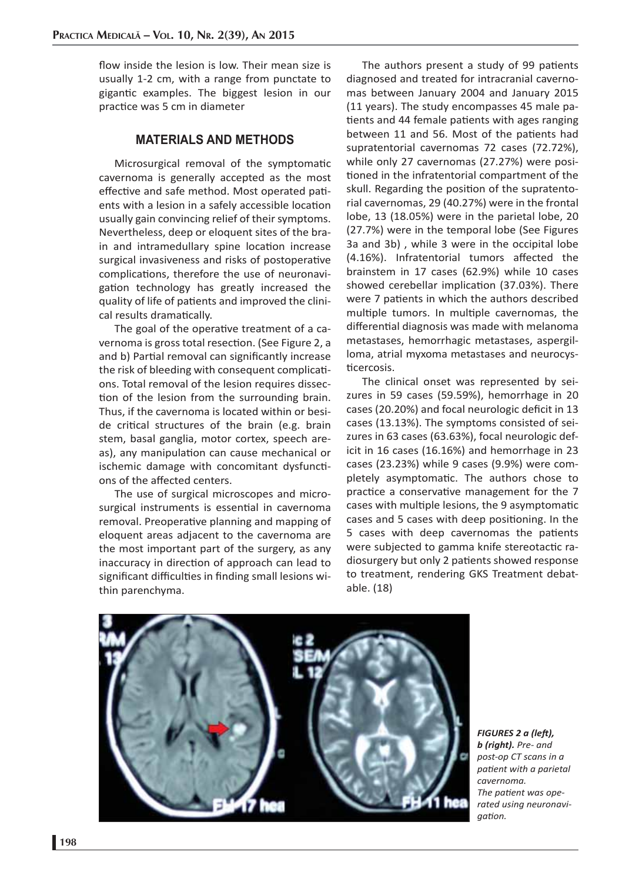flow inside the lesion is low. Their mean size is usually 1-2 cm, with a range from punctate to gigantic examples. The biggest lesion in our practice was 5 cm in diameter

#### **MATERIALS AND METHODS**

Microsurgical removal of the symptomatic cavernoma is generally accepted as the most effective and safe method. Most operated patients with a lesion in a safely accessible location usually gain convincing relief of their symptoms. Nevertheless, deep or eloquent sites of the brain and intramedullary spine location increase surgical invasiveness and risks of postoperative complications, therefore the use of neuronavigation technology has greatly increased the quality of life of patients and improved the clinical results dramatically.

The goal of the operative treatment of a cavernoma is gross total resection. (See Figure 2, a and b) Partial removal can significantly increase the risk of bleeding with consequent complications. Total removal of the lesion requires dissection of the lesion from the surrounding brain. Thus, if the cavernoma is located within or beside critical structures of the brain (e.g. brain stem, basal ganglia, motor cortex, speech areas), any manipulation can cause mechanical or ischemic damage with concomitant dysfunctions of the affected centers.

The use of surgical microscopes and microsurgical instruments is essential in cavernoma removal. Preoperative planning and mapping of eloquent areas adjacent to the cavernoma are the most important part of the surgery, as any inaccuracy in direction of approach can lead to significant difficulties in finding small lesions within parenchyma.

The authors present a study of 99 patients diagnosed and treated for intracranial cavernomas between January 2004 and January 2015 (11 years). The study encompasses 45 male patients and 44 female patients with ages ranging between 11 and 56. Most of the patients had supratentorial cavernomas 72 cases (72.72%), while only 27 cavernomas (27.27%) were positioned in the infratentorial compartment of the skull. Regarding the position of the supratentorial cavernomas, 29 (40.27%) were in the frontal lobe, 13 (18.05%) were in the parietal lobe, 20 (27.7%) were in the temporal lobe (See Figures 3a and 3b) , while 3 were in the occipital lobe (4.16%). Infratentorial tumors affected the brainstem in 17 cases (62.9%) while 10 cases showed cerebellar implication (37.03%). There were 7 patients in which the authors described multiple tumors. In multiple cavernomas, the differential diagnosis was made with melanoma metastases, hemorrhagic metastases, aspergilloma, atrial myxoma metastases and neurocysticercosis.

The clinical onset was represented by seizures in 59 cases (59.59%), hemorrhage in 20 cases (20.20%) and focal neurologic deficit in 13 cases (13.13%). The symptoms consisted of seizures in 63 cases (63.63%), focal neurologic deficit in 16 cases (16.16%) and hemorrhage in 23 cases (23.23%) while 9 cases (9.9%) were completely asymptomatic. The authors chose to practice a conservative management for the 7 cases with multiple lesions, the 9 asymptomatic cases and 5 cases with deep positioning. In the 5 cases with deep cavernomas the patients were subjected to gamma knife stereotactic radiosurgery but only 2 patients showed response to treatment, rendering GKS Treatment debatable. (18)



*FIGURES 2 a (left), b (right). Pre- and post-op CT scans in a patient with a parietal cavernoma.*  The patient was ope*rated using neuronavigati on.*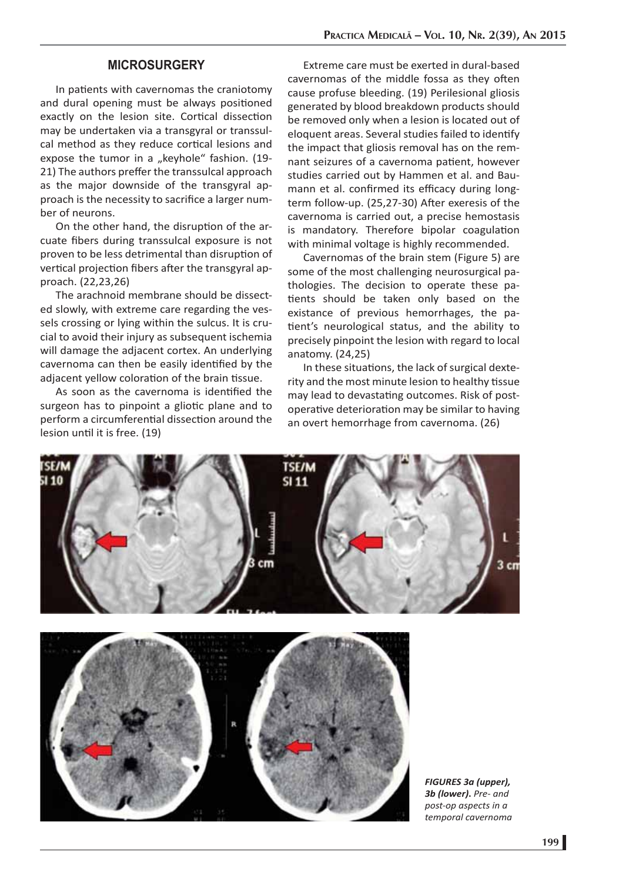## **MICROSURGERY**

In patients with cavernomas the craniotomy and dural opening must be always positioned exactly on the lesion site. Cortical dissection may be undertaken via a transgyral or transsulcal method as they reduce cortical lesions and expose the tumor in a "keyhole" fashion. (19-21) The authors preffer the transsulcal approach as the major downside of the transgyral approach is the necessity to sacrifice a larger number of neurons.

On the other hand, the disruption of the arcuate fibers during transsulcal exposure is not proven to be less detrimental than disruption of vertical projection fibers after the transgyral approach. (22,23,26)

The arachnoid membrane should be dissected slowly, with extreme care regarding the vessels crossing or lying within the sulcus. It is crucial to avoid their injury as subsequent ischemia will damage the adjacent cortex. An underlying cavernoma can then be easily identified by the adjacent yellow coloration of the brain tissue.

As soon as the cavernoma is identified the surgeon has to pinpoint a gliotic plane and to perform a circumferential dissection around the lesion until it is free. (19)

Extreme care must be exerted in dural-based cavernomas of the middle fossa as they often cause profuse bleeding. (19) Perilesional gliosis generated by blood breakdown products should be removed only when a lesion is located out of eloquent areas. Several studies failed to identify the impact that gliosis removal has on the remnant seizures of a cavernoma patient, however studies carried out by Hammen et al. and Baumann et al. confirmed its efficacy during longterm follow-up. (25,27-30) After exeresis of the cavernoma is carried out, a precise hemostasis is mandatory. Therefore bipolar coagulation with minimal voltage is highly recommended.

Cavernomas of the brain stem (Figure 5) are some of the most challenging neurosurgical pathologies. The decision to operate these patients should be taken only based on the existance of previous hemorrhages, the patient's neurological status, and the ability to precisely pinpoint the lesion with regard to local anatomy. (24,25)

In these situations, the lack of surgical dexterity and the most minute lesion to healthy tissue may lead to devastating outcomes. Risk of postoperative deterioration may be similar to having an overt hemorrhage from cavernoma. (26)





*FIGURES 3a (upper), 3b (lower)***.** *Pre- and post-op aspects in a temporal cavernoma*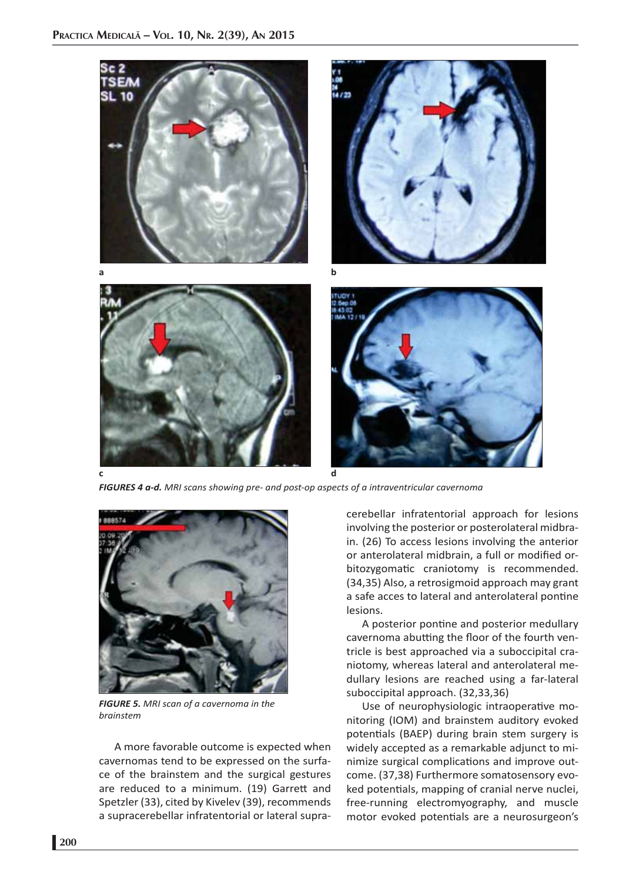

*FIGURES 4 a-d. MRI scans showing pre- and post-op aspects of a intraventricular cavernoma*



*FIGURE 5. MRI scan of a cavernoma in the brainstem*

A more favorable outcome is expected when cavernomas tend to be expressed on the surface of the brainstem and the surgical gestures are reduced to a minimum. (19) Garrett and Spetzler (33), cited by Kivelev (39), recommends a supracerebellar infratentorial or lateral supracerebellar infratentorial approach for lesions involving the posterior or posterolateral midbrain. (26) To access lesions involving the anterior or anterolateral midbrain, a full or modified orbitozygomatic craniotomy is recommended. (34,35) Also, a retrosigmoid approach may grant a safe acces to lateral and anterolateral pontine lesions.

A posterior pontine and posterior medullary cavernoma abutting the floor of the fourth ventricle is best approached via a suboccipital craniotomy, whereas lateral and anterolateral medullary lesions are reached using a far-lateral suboccipital approach. (32,33,36)

Use of neurophysiologic intraoperative monitoring (IOM) and brainstem auditory evoked potentials (BAEP) during brain stem surgery is widely accepted as a remarkable adjunct to minimize surgical complications and improve outcome. (37,38) Furthermore somatosensory evoked potentials, mapping of cranial nerve nuclei, free-running electromyography, and muscle motor evoked potentials are a neurosurgeon's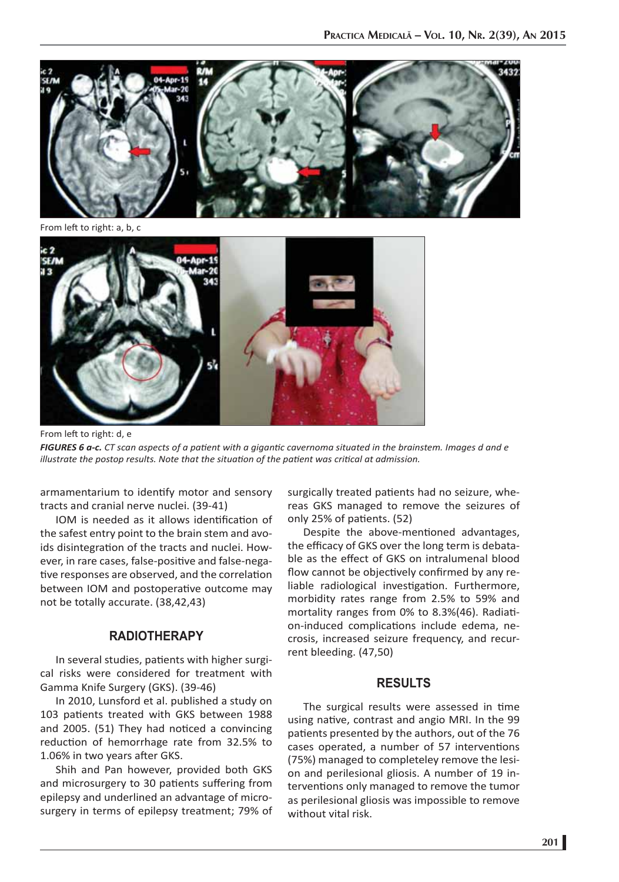

From left to right: a, b, c



From left to right: d, e

*FIGURES 6 a-c. CT scan aspects of a patient with a gigantic cavernoma situated in the brainstem. Images d and e illustrate the postop results. Note that the situati on of the pati ent was criti cal at admission.*

armamentarium to identify motor and sensory tracts and cranial nerve nuclei. (39-41)

IOM is needed as it allows identification of the safest entry point to the brain stem and avoids disintegration of the tracts and nuclei. However, in rare cases, false-positive and false-negative responses are observed, and the correlation between IOM and postoperative outcome may not be totally accurate. (38,42,43)

## **RADIOTHERAPY**

In several studies, patients with higher surgical risks were considered for treatment with Gamma Knife Surgery (GKS). (39-46)

In 2010, Lunsford et al. published a study on 103 patients treated with GKS between 1988 and 2005. (51) They had noticed a convincing reduction of hemorrhage rate from 32.5% to 1.06% in two years after GKS.

Shih and Pan however, provided both GKS and microsurgery to 30 patients suffering from epilepsy and underlined an advantage of microsurgery in terms of epilepsy treatment; 79% of surgically treated patients had no seizure, whereas GKS managed to remove the seizures of only 25% of patients. (52)

Despite the above-mentioned advantages, the efficacy of GKS over the long term is debatable as the effect of GKS on intralumenal blood flow cannot be objectively confirmed by any reliable radiological investigation. Furthermore, morbidity rates range from 2.5% to 59% and mortality ranges from 0% to 8.3%(46). Radiation-induced complications include edema, necrosis, increased seizure frequency, and recurrent bleeding. (47,50)

#### **RESULTS**

The surgical results were assessed in time using native, contrast and angio MRI. In the 99 patients presented by the authors, out of the 76 cases operated, a number of 57 interventions (75%) managed to completeley remove the lesion and perilesional gliosis. A number of 19 interventions only managed to remove the tumor as perilesional gliosis was impossible to remove without vital risk.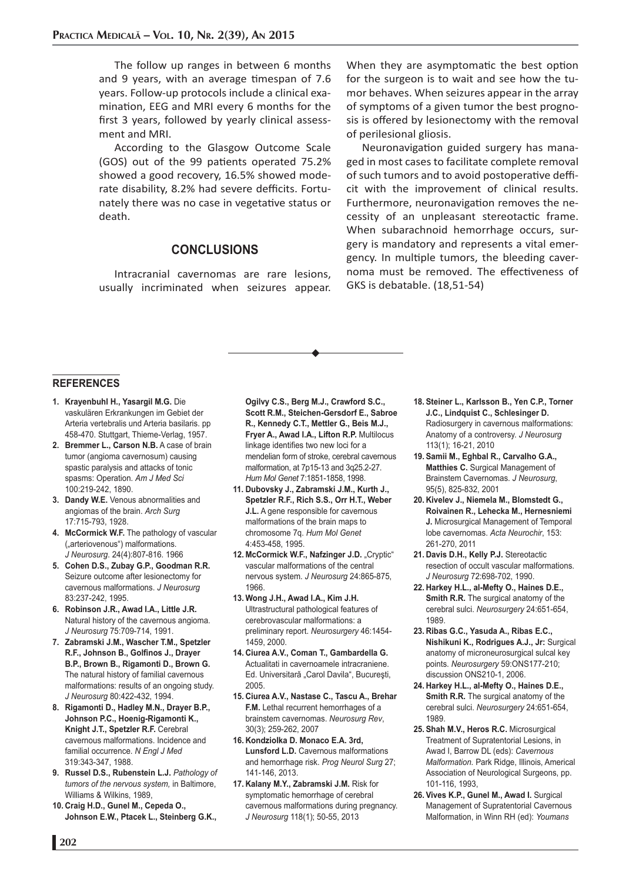The follow up ranges in between 6 months and 9 years, with an average timespan of 7.6 years. Follow-up protocols include a clinical examination, EEG and MRI every 6 months for the first 3 years, followed by yearly clinical assessment and MRI.

According to the Glasgow Outcome Scale (GOS) out of the 99 patients operated 75.2% showed a good recovery, 16.5% showed moderate disability, 8.2% had severe defficits. Fortunately there was no case in vegetative status or death.

## **CONCLUSIONS**

Intracranial cavernomas are rare lesions, usually incriminated when seizures appear. When they are asymptomatic the best option for the surgeon is to wait and see how the tumor behaves. When seizures appear in the array of symptoms of a given tumor the best prognosis is offered by lesionectomy with the removal of perilesional gliosis.

Neuronavigation guided surgery has managed in most cases to facilitate complete removal of such tumors and to avoid postoperative defficit with the improvement of clinical results. Furthermore, neuronavigation removes the necessity of an unpleasant stereotactic frame. When subarachnoid hemorrhage occurs, surgery is mandatory and represents a vital emergency. In multiple tumors, the bleeding cavernoma must be removed. The effectiveness of GKS is debatable. (18,51-54)

#### **REFERENCES**

- **1. Krayenbuhl H., Yasargil M.G.** Die vaskulären Erkrankungen im Gebiet der Arteria vertebralis und Arteria basilaris. pp 458-470. Stuttgart, Thieme-Verlag, 1957.
- **2. Bremmer L., Carson N.B.** A case of brain tumor (angioma cavernosum) causing spastic paralysis and attacks of tonic spasms: Operation. *Am J Med Sci* 100:219-242, 1890.
- **3. Dandy W.E.** Venous abnormalities and angiomas of the brain. *Arch Surg* 17:715-793, 1928.
- **4. McCormick W.F.** The pathology of vascular ("arteriovenous") malformations. *J Neurosurg*. 24(4):807-816. 1966
- **5. Cohen D.S., Zubay G.P., Goodman R.R.**  Seizure outcome after lesionectomy for cavernous malformations. *J Neurosurg* 83:237-242, 1995.
- **6. Robinson J.R., Awad I.A., Little J.R.** Natural history of the cavernous angioma. *J Neurosurg* 75:709-714, 1991.
- **7. Zabramski J.M., Wascher T.M., Spetzler**  R.F., Johnson B., Golfinos J., Drayer **B.P., Brown B., Rigamonti D., Brown G.** The natural history of familial cavernous malformations: results of an ongoing study. *J Neurosurg* 80:422-432, 1994.
- **8. Rigamonti D., Hadley M.N., Drayer B.P., Johnson P.C., Hoenig-Rigamonti K., Knight J.T., Spetzler R.F.** Cerebral cavernous malformations. Incidence and familial occurrence. *N Engl J Med* 319:343-347, 1988.
- **9. Russel D.S., Rubenstein L.J.** *Pathology of tumors of the nervous system,* in Baltimore, Williams & Wilkins, 1989,
- **10. Craig H.D., Gunel M., Cepeda O., Johnson E.W., Ptacek L., Steinberg G.K.,**

**Ogilvy C.S., Berg M.J., Crawford S.C., Scott R.M., Steichen-Gersdorf E., Sabroe R., Kennedy C.T., Mettler G., Beis M.J., Fryer A., Awad I.A., Lifton R.P.** Multilocus linkage identifies two new loci for a mendelian form of stroke, cerebral cavernous malformation, at 7p15-13 and 3q25.2-27. *Hum Mol Genet* 7:1851-1858, 1998.

- **11. Dubovsky J., Zabramski J.M., Kurth J., Spetzler R.F., Rich S.S., Orr H.T., Weber J.L.** A gene responsible for cavernous malformations of the brain maps to chromosome 7q. *Hum Mol Genet* 4:453-458, 1995.
- 12. McCormick W.F., Nafzinger J.D. "Cryptic" vascular malformations of the central nervous system. *J Neurosurg* 24:865-875, 1966.
- **13. Wong J.H., Awad I.A., Kim J.H.**  Ultrastructural pathological features of cerebrovascular malformations: a preliminary report. *Neurosurgery* 46:1454- 1459, 2000.
- **14. Ciurea A.V., Coman T., Gambardella G.**  Actualitati in cavernoamele intracraniene. Ed. Universitară "Carol Davila", București, 2005.
- **15. Ciurea A.V., Nastase C., Tascu A., Brehar F.M.** Lethal recurrent hemorrhages of a brainstem cavernomas. *Neurosurg Rev*, 30(3); 259-262, 2007
- **16. Kondziolka D. Monaco E.A. 3rd, Lunsford L.D.** Cavernous malformations and hemorrhage risk. *Prog Neurol Surg* 27; 141-146, 2013.
- **17. Kalany M.Y., Zabramski J.M.** Risk for symptomatic hemorrhage of cerebral cavernous malformations during pregnancy. *J Neurosurg* 118(1); 50-55, 2013
- **18. Steiner L., Karlsson B., Yen C.P., Torner J.C., Lindquist C., Schlesinger D.**  Radiosurgery in cavernous malformations: Anatomy of a controversy. *J Neurosurg* 113(1); 16-21, 2010
- **19. Samii M., Eghbal R., Carvalho G.A., Matthies C.** Surgical Management of Brainstem Cavernomas. *J Neurosurg*, 95(5), 825-832, 2001
- **20. Kivelev J., Niemela M., Blomstedt G., Roivainen R., Lehecka M., Hernesniemi J.** Microsurgical Management of Temporal lobe cavernomas. *Acta Neurochir*, 153: 261-270, 2011
- **21. Davis D.H., Kelly P.J.** Stereotactic resection of occult vascular malformations. *J Neurosurg* 72:698-702, 1990.
- **22. Harkey H.L., al-Mefty O., Haines D.E., Smith R.R.** The surgical anatomy of the cerebral sulci. *Neurosurgery* 24:651-654, 1989.
- **23. Ribas G.C., Yasuda A., Ribas E.C., Nishikuni K., Rodrigues A.J., Jr:** Surgical anatomy of microneurosurgical sulcal key points. *Neurosurgery* 59:ONS177-210; discussion ONS210-1, 2006.
- **24. Harkey H.L., al-Mefty O., Haines D.E., Smith R.R.** The surgical anatomy of the cerebral sulci. *Neurosurgery* 24:651-654, 1989.
- **25. Shah M.V., Heros R.C.** Microsurgical Treatment of Supratentorial Lesions, in Awad I, Barrow DL (eds): *Cavernous Malformation.* Park Ridge, Illinois, Americal Association of Neurological Surgeons, pp. 101-116, 1993,
- **26. Vives K.P., Gunel M., Awad I.** Surgical Management of Supratentorial Cavernous Malformation, in Winn RH (ed): *Youmans*